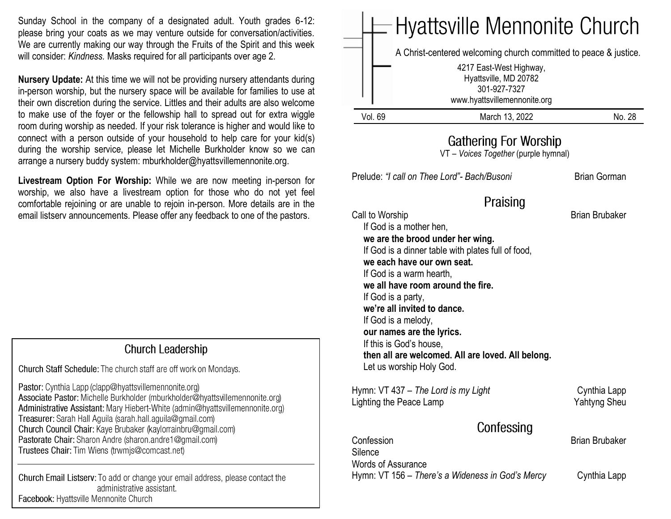Sunday School in the company of a designated adult. Youth grades 6-12: please bring your coats as we may venture outside for conversation/activities. We are currently making our way through the Fruits of the Spirit and this week will consider: *Kindness.* Masks required for all participants over age 2.

**Nursery Update:** At this time we will not be providing nursery attendants during in-person worship, but the nursery space will be available for families to use at their own discretion during the service. Littles and their adults are also welcome to make use of the foyer or the fellowship hall to spread out for extra wiggle room during worship as needed. If your risk tolerance is higher and would like to connect with a person outside of your household to help care for your kid(s) during the worship service, please let Michelle Burkholder know so we can arrange a nursery buddy system: mburkholder@hyattsvillemennonite.org.

**Livestream Option For Worship:** While we are now meeting in-person for worship, we also have a livestream option for those who do not yet feel comfortable rejoining or are unable to rejoin in-person. More details are in the email listserv announcements. Please offer any feedback to one of the pastors.

#### **Church Leadership**

Church Staff Schedule: The church staff are off work on Mondays.

Pastor: Cynthia Lapp (clapp@hyattsvillemennonite.org) Associate Pastor: Michelle Burkholder (mburkholder@hyattsvillemennonite.org) Administrative Assistant: Mary Hiebert-White (admin@hyattsvillemennonite.org) Treasurer: Sarah Hall Aguila (sarah.hall.aguila@gmail.com) Church Council Chair: Kaye Brubaker (kaylorrainbru@gmail.com) Pastorate Chair: Sharon Andre (sharon.andre1@gmail.com) Trustees Chair: Tim Wiens (trwmjs@comcast.net)

Church Email Listserv: To add or change your email address, please contact the administrative assistant. Facebook: Hyattsville Mennonite Church

|                                                                                                                                                                                                                                                                      | <b>Hyattsville Mennonite Church</b><br>A Christ-centered welcoming church committed to peace & justice.<br>4217 East-West Highway,<br>Hyattsville, MD 20782<br>301-927-7327<br>www.hyattsvillemennonite.org |                                       |
|----------------------------------------------------------------------------------------------------------------------------------------------------------------------------------------------------------------------------------------------------------------------|-------------------------------------------------------------------------------------------------------------------------------------------------------------------------------------------------------------|---------------------------------------|
| <b>Vol. 69</b>                                                                                                                                                                                                                                                       | March 13, 2022                                                                                                                                                                                              | No. 28                                |
|                                                                                                                                                                                                                                                                      | Gathering For Worship<br>VT - Voices Together (purple hymnal)                                                                                                                                               |                                       |
|                                                                                                                                                                                                                                                                      | Prelude: "I call on Thee Lord" - Bach/Busoni                                                                                                                                                                | <b>Brian Gorman</b>                   |
| Call to Worship<br>If God is a mother hen,<br>we each have our own seat.<br>If God is a warm hearth,<br>If God is a party,<br>we're all invited to dance.<br>If God is a melody,<br>our names are the lyrics.<br>If this is God's house,<br>Let us worship Holy God. | Praising<br>we are the brood under her wing.<br>If God is a dinner table with plates full of food,<br>we all have room around the fire.<br>then all are welcomed. All are loved. All belong.                | <b>Brian Brubaker</b>                 |
| Hymn: VT 437 - The Lord is my Light<br>Lighting the Peace Lamp                                                                                                                                                                                                       |                                                                                                                                                                                                             | Cynthia Lapp<br><b>Yahtyng Sheu</b>   |
|                                                                                                                                                                                                                                                                      | Confessing                                                                                                                                                                                                  |                                       |
| Confession<br>Silence<br><b>Words of Assurance</b>                                                                                                                                                                                                                   | Hymn: VT 156 - There's a Wideness in God's Mercy                                                                                                                                                            | <b>Brian Brubaker</b><br>Cynthia Lapp |
|                                                                                                                                                                                                                                                                      |                                                                                                                                                                                                             |                                       |